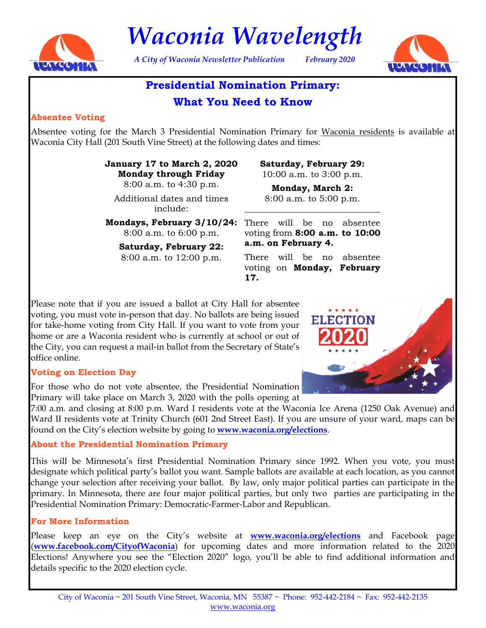

*Waconia Wavelength* 

*A City of Waconia Newsletter Publication February 2020* 



# **Presidential Nomination Primary:**

# **What You Need to Know**

#### **Absentee Voting**

Absentee voting for the March 3 Presidential Nomination Primary for Waconia residents is available at Waconia City Hall (201 South Vine Street) at the following dates and times:

> **January 17 to March 2, 2020 Monday through Friday**  8:00 a.m. to 4:30 p.m.

Additional dates and times include:

8:00 a.m. to 6:00 p.m.

**Saturday, February 22:**  8:00 a.m. to 12:00 p.m.

**Saturday, February 29:**  10:00 a.m. to 3:00 p.m.

**Monday, March 2:**  8:00 a.m. to 5:00 p.m.

\_\_\_\_\_\_\_\_\_\_\_\_\_\_\_\_\_\_\_\_\_\_\_\_\_\_\_\_\_\_\_

**Mondays, February 3/10/24:**  There will be no absentee voting from **8:00 a.m. to 10:00 a.m. on February 4.** 

> There will be no absentee voting on **Monday, February 17.**

Please note that if you are issued a ballot at City Hall for absentee voting, you must vote in-person that day. No ballots are being issued for take-home voting from City Hall. If you want to vote from your home or are a Waconia resident who is currently at school or out of the City, you can request a mail-in ballot from the Secretary of State's office online.

#### **Voting on Election Day**

For those who do not vote absentee, the Presidential Nomination Primary will take place on March 3, 2020 with the polls opening at

7:00 a.m. and closing at 8:00 p.m. Ward I residents vote at the Waconia Ice Arena (1250 Oak Avenue) and Ward II residents vote at Trinity Church (601 2nd Street East). If you are unsure of your ward, maps can be found on the City's election website by going to **www.waconia.org/elections**.

#### **About the Presidential Nomination Primary**

This will be Minnesota's first Presidential Nomination Primary since 1992. When you vote, you must designate which political party's ballot you want. Sample ballots are available at each location, as you cannot change your selection after receiving your ballot. By law, only major political parties can participate in the primary. In Minnesota, there are four major political parties, but only two parties are participating in the Presidential Nomination Primary: Democratic-Farmer-Labor and Republican.

### **For More Information**

Please keep an eye on the City's website at **www.waconia.org/elections** and Facebook page (**www.facebook.com/CityofWaconia**) for upcoming dates and more information related to the 2020 Elections! Anywhere you see the "Election 2020" logo, you'll be able to find additional information and details specific to the 2020 election cycle.